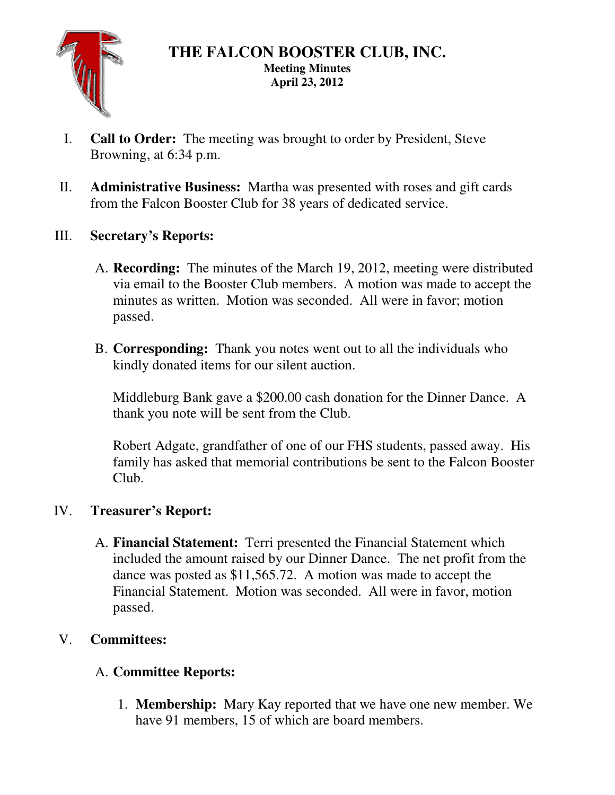

### **THE FALCON BOOSTER CLUB, INC. Meeting Minutes April 23, 2012**

- I. **Call to Order:** The meeting was brought to order by President, Steve Browning, at 6:34 p.m.
- II. **Administrative Business:** Martha was presented with roses and gift cards from the Falcon Booster Club for 38 years of dedicated service.
- III. **Secretary's Reports:** 
	- A. **Recording:** The minutes of the March 19, 2012, meeting were distributed via email to the Booster Club members. A motion was made to accept the minutes as written. Motion was seconded. All were in favor; motion passed.
	- B. **Corresponding:** Thank you notes went out to all the individuals who kindly donated items for our silent auction.

Middleburg Bank gave a \$200.00 cash donation for the Dinner Dance. A thank you note will be sent from the Club.

Robert Adgate, grandfather of one of our FHS students, passed away. His family has asked that memorial contributions be sent to the Falcon Booster Club.

# IV. **Treasurer's Report:**

A. **Financial Statement:** Terri presented the Financial Statement which included the amount raised by our Dinner Dance. The net profit from the dance was posted as \$11,565.72. A motion was made to accept the Financial Statement. Motion was seconded. All were in favor, motion passed.

# V. **Committees:**

# A. **Committee Reports:**

1. **Membership:** Mary Kay reported that we have one new member. We have 91 members, 15 of which are board members.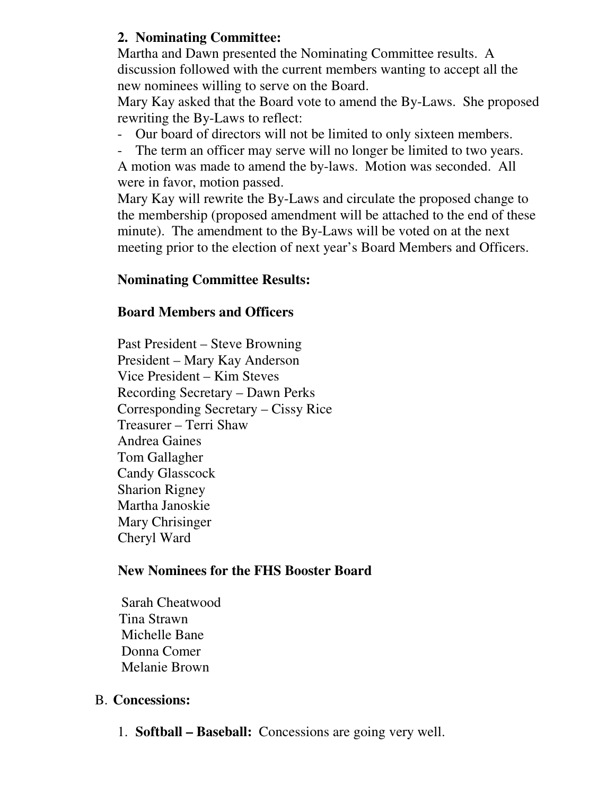## **2. Nominating Committee:**

Martha and Dawn presented the Nominating Committee results. A discussion followed with the current members wanting to accept all the new nominees willing to serve on the Board.

Mary Kay asked that the Board vote to amend the By-Laws. She proposed rewriting the By-Laws to reflect:

- Our board of directors will not be limited to only sixteen members.
- The term an officer may serve will no longer be limited to two years.

A motion was made to amend the by-laws. Motion was seconded. All were in favor, motion passed.

Mary Kay will rewrite the By-Laws and circulate the proposed change to the membership (proposed amendment will be attached to the end of these minute). The amendment to the By-Laws will be voted on at the next meeting prior to the election of next year's Board Members and Officers.

## **Nominating Committee Results:**

### **Board Members and Officers**

Past President – Steve Browning President – Mary Kay Anderson Vice President – Kim Steves Recording Secretary – Dawn Perks Corresponding Secretary – Cissy Rice Treasurer – Terri Shaw Andrea Gaines Tom Gallagher Candy Glasscock Sharion Rigney Martha Janoskie Mary Chrisinger Cheryl Ward

## **New Nominees for the FHS Booster Board**

 Sarah Cheatwood Tina Strawn Michelle Bane Donna Comer Melanie Brown

## B. **Concessions:**

1. **Softball – Baseball:** Concessions are going very well.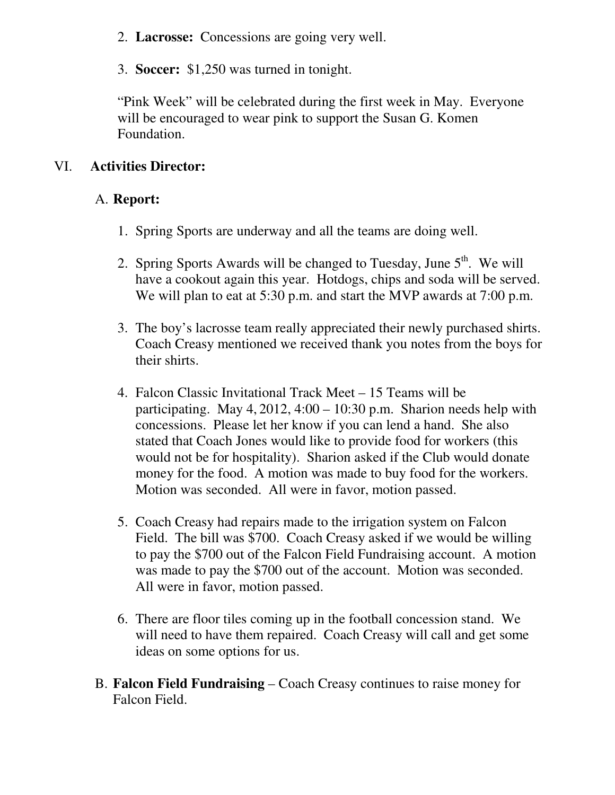- 2. **Lacrosse:** Concessions are going very well.
- 3. **Soccer:** \$1,250 was turned in tonight.

"Pink Week" will be celebrated during the first week in May. Everyone will be encouraged to wear pink to support the Susan G. Komen Foundation.

### VI. **Activities Director:**

### A. **Report:**

- 1. Spring Sports are underway and all the teams are doing well.
- 2. Spring Sports Awards will be changed to Tuesday, June  $5<sup>th</sup>$ . We will have a cookout again this year. Hotdogs, chips and soda will be served. We will plan to eat at 5:30 p.m. and start the MVP awards at 7:00 p.m.
- 3. The boy's lacrosse team really appreciated their newly purchased shirts. Coach Creasy mentioned we received thank you notes from the boys for their shirts.
- 4. Falcon Classic Invitational Track Meet 15 Teams will be participating. May 4, 2012,  $4:00 - 10:30$  p.m. Sharion needs help with concessions. Please let her know if you can lend a hand. She also stated that Coach Jones would like to provide food for workers (this would not be for hospitality). Sharion asked if the Club would donate money for the food. A motion was made to buy food for the workers. Motion was seconded. All were in favor, motion passed.
- 5. Coach Creasy had repairs made to the irrigation system on Falcon Field. The bill was \$700. Coach Creasy asked if we would be willing to pay the \$700 out of the Falcon Field Fundraising account. A motion was made to pay the \$700 out of the account. Motion was seconded. All were in favor, motion passed.
- 6. There are floor tiles coming up in the football concession stand. We will need to have them repaired. Coach Creasy will call and get some ideas on some options for us.
- B. **Falcon Field Fundraising** Coach Creasy continues to raise money for Falcon Field.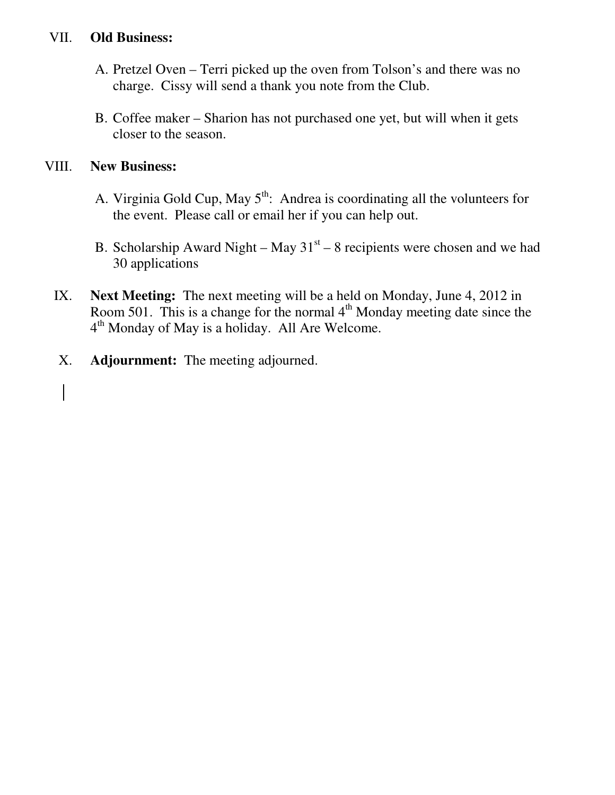## VII. **Old Business:**

- A. Pretzel Oven Terri picked up the oven from Tolson's and there was no charge. Cissy will send a thank you note from the Club.
- B. Coffee maker Sharion has not purchased one yet, but will when it gets closer to the season.

### VIII. **New Business:**

- A. Virginia Gold Cup, May  $5<sup>th</sup>$ : Andrea is coordinating all the volunteers for the event. Please call or email her if you can help out.
- B. Scholarship Award Night May  $31<sup>st</sup>$  8 recipients were chosen and we had 30 applications
- IX. **Next Meeting:** The next meeting will be a held on Monday, June 4, 2012 in Room 501. This is a change for the normal  $4<sup>th</sup>$  Monday meeting date since the 4<sup>th</sup> Monday of May is a holiday. All Are Welcome.
- X. **Adjournment:** The meeting adjourned.